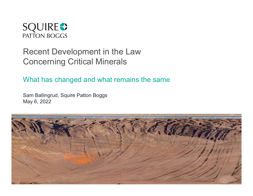

# Recent Development in the Law Concerning Critical Minerals

What has changed and what remains the same

Sam Ballingrud, Squire Patton Boggs May 6, 2022

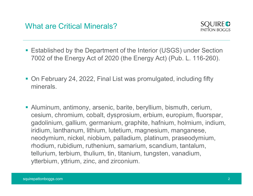

- Established by the Department of the Interior (USGS) under Section 7002 of the Energy Act of 2020 (the Energy Act) (Pub. L. 116-260).
- On February 24, 2022, Final List was promulgated, including fifty minerals.
- Aluminum, antimony, arsenic, barite, beryllium, bismuth, cerium, cesium, chromium, cobalt, dysprosium, erbium, europium, fluorspar, gadolinium, gallium, germanium, graphite, hafnium, holmium, indium, iridium, lanthanum, lithium, lutetium, magnesium, manganese, neodymium, nickel, niobium, palladium, platinum, praseodymium, rhodium, rubidium, ruthenium, samarium, scandium, tantalum, tellurium, terbium, thulium, tin, titanium, tungsten, vanadium, ytterbium, yttrium, zinc, and zirconium.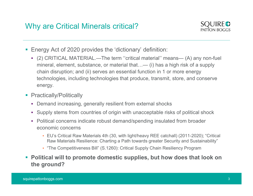

- Energy Act of 2020 provides the 'dictionary' definition:
- (2) CRITICAL Minerals critical?<br>
Energy Act of 2020 provides the 'dictionary' definition:<br>
(2) CRITICAL MATERIAL.—The term ''critical material'' means— (A) any non-fuel<br>
mineral, element, substance, or material that...— ( **y are Critical Minerals critical?**<br> **SQUIRE●**<br>
PATION BOGGS<br> **DEPERTER ALCONSTANT ANTERIAL.—The term** "critical material" means— (A) any non-fuel<br>
mineral, element, substance, or material that…— (i) has a high risk of a chain disruption; and (ii) serves an essential function in 1 or more energy technologies, including technologies that produce, transmit, store, and conserve energy.
- Practically/Politically
	- Demand increasing, generally resilient from external shocks
	- Supply stems from countries of origin with unacceptable risks of political shock
	- Political concerns indicate robust demand/spending insulated from broader economic concerns
		- EU's Critical Raw Materials 4th (30, with light/heavy REE catchall) (2011-2020); "Critical Raw Materials Resilience: Charting a Path towards greater Security and Sustainability"
		- "The Competitiveness Bill" (S.1260): Critical Supply Chain Resiliency Program
- Political will to promote domestic supplies, but how does that look on the ground?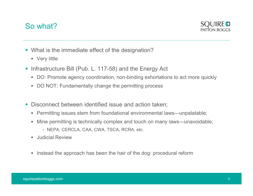#### So what?



- What is the immediate effect of the designation?
	- **•** Very little
- **Infrastructure Bill (Pub. L. 117-58) and the Energy Act** 
	- DO: Promote agency coordination, non-binding exhortations to act more quickly
	- DO NOT: Fundamentally change the permitting process
- **Disconnect between identified issue and action taken:** 
	- Permitting issues stem from foundational environmental laws—unpalatable;
	- Mine permitting is technically complex and touch on many laws—unavoidable;
		- NEPA, CERCLA, CAA, CWA, TSCA, RCRA, etc.
	- **Judicial Review**
	- Instead the approach has been the hair of the dog: procedural reform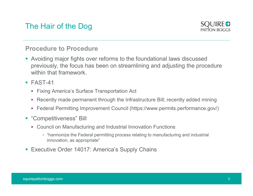## The Hair of the Dog



#### Procedure to Procedure

- Avoiding major fights over reforms to the foundational laws discussed previously, the focus has been on streamlining and adjusting the procedure within that framework
- **FAST-41** 
	- Fixing America's Surface Transportation Act
	- Recently made permanent through the Infrastructure Bill; recently added mining
	- Federal Permitting Improvement Council (https://www.permits.performance.gov/)
- **"Competitiveness" Bill** 
	- Council on Manufacturing and Industrial Innovation Functions
		- "harmonize the Federal permitting process relating to manufacturing and industrial innovation, as appropriate"
- Executive Order 14017: America's Supply Chains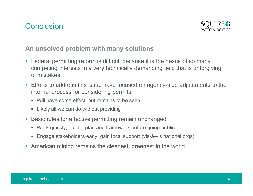

An unsolved problem with many solutions

- **Federal permitting reform is difficult because it is the nexus of so many** competing interests in a very technically demanding field that is unforgiving of mistakes.
- **Efforts to address this issue have focused on agency-side adjustments to the** internal process for considering permits
	- Will have some effect, but remains to be seen.
	- **EXALGO EXALGO EXALGO EXA**<br>Likely all we can do without providing
- **Basic rules for effective permitting remain unchanged** 
	- Work quickly, build a plan and framework before going public
	- Engage stakeholders early, gain local support (vis-à-vis national orgs)
- American mining remains the cleanest, greenest in the world.